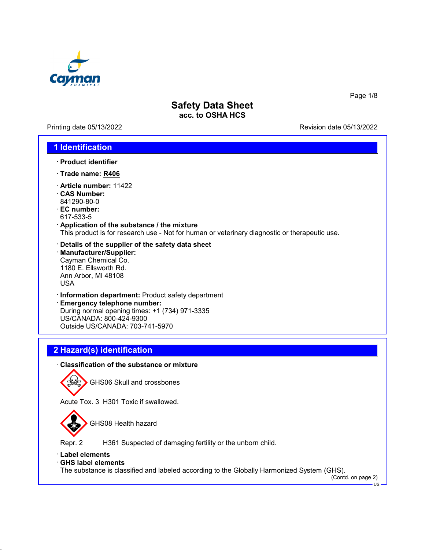

Printing date 05/13/2022 **Revision date 05/13/2022** 

Page 1/8

### **1 Identification**

- · **Product identifier**
- · **Trade name: R406**
- · **Article number:** 11422
- · **CAS Number:** 841290-80-0
- · **EC number:** 617-533-5
- · **Application of the substance / the mixture** This product is for research use - Not for human or veterinary diagnostic or therapeutic use.
- · **Details of the supplier of the safety data sheet** · **Manufacturer/Supplier:** Cayman Chemical Co. 1180 E. Ellsworth Rd. Ann Arbor, MI 48108 USA
- · **Information department:** Product safety department
- · **Emergency telephone number:** During normal opening times: +1 (734) 971-3335 US/CANADA: 800-424-9300 Outside US/CANADA: 703-741-5970

## **2 Hazard(s) identification**

#### · **Classification of the substance or mixture**



GHS06 Skull and crossbones

Acute Tox. 3 H301 Toxic if swallowed.



GHS08 Health hazard

Repr. 2 H361 Suspected of damaging fertility or the unborn child.

#### · **Label elements**

#### · **GHS label elements**

The substance is classified and labeled according to the Globally Harmonized System (GHS).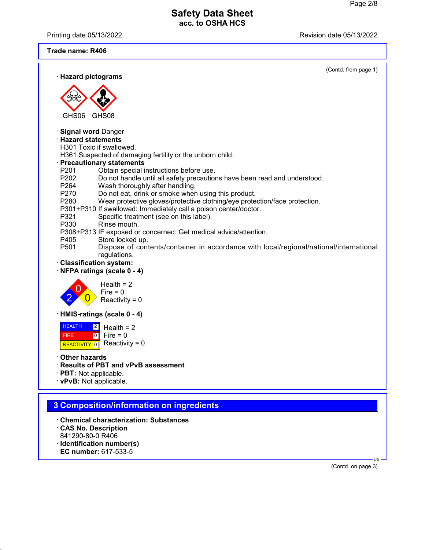Printing date 05/13/2022 **Revision date 05/13/2022** 

**Trade name: R406**

|                                                                                                                                  | (Contd. from page 1) |
|----------------------------------------------------------------------------------------------------------------------------------|----------------------|
| · Hazard pictograms                                                                                                              |                      |
|                                                                                                                                  |                      |
|                                                                                                                                  |                      |
| GHS06<br>GHS08                                                                                                                   |                      |
| · Signal word Danger                                                                                                             |                      |
| · Hazard statements<br>H301 Toxic if swallowed.                                                                                  |                      |
| H361 Suspected of damaging fertility or the unborn child.                                                                        |                      |
| · Precautionary statements                                                                                                       |                      |
| P <sub>201</sub><br>Obtain special instructions before use.<br>P202                                                              |                      |
| Do not handle until all safety precautions have been read and understood.<br>Wash thoroughly after handling.<br>P <sub>264</sub> |                      |
| Do not eat, drink or smoke when using this product.<br>P270                                                                      |                      |
| P280<br>Wear protective gloves/protective clothing/eye protection/face protection.                                               |                      |
| P301+P310 If swallowed: Immediately call a poison center/doctor.<br>Specific treatment (see on this label).<br>P321              |                      |
| P330<br>Rinse mouth.                                                                                                             |                      |
| P308+P313 IF exposed or concerned: Get medical advice/attention.                                                                 |                      |
| P405<br>Store locked up.<br>P501<br>Dispose of contents/container in accordance with local/regional/national/international       |                      |
| regulations.                                                                                                                     |                      |
| · Classification system:                                                                                                         |                      |
| · NFPA ratings (scale 0 - 4)                                                                                                     |                      |
| Health $= 2$                                                                                                                     |                      |
| $Fire = 0$                                                                                                                       |                      |
| Reactivity = $0$                                                                                                                 |                      |
| HMIS-ratings (scale 0 - 4)                                                                                                       |                      |
| <b>HEALTH</b><br>Health $= 2$                                                                                                    |                      |
| $\boxed{0}$<br>Fire = $0$<br><b>FIRE</b>                                                                                         |                      |
| Reactivity = $0$<br><b>REACTIVITY</b><br>$\overline{\phantom{0}}$                                                                |                      |
| <b>• Other hazards</b>                                                                                                           |                      |
| · Results of PBT and vPvB assessment<br>· PBT: Not applicable.                                                                   |                      |
| · vPvB: Not applicable.                                                                                                          |                      |
|                                                                                                                                  |                      |
| 3 Composition/information on ingredients                                                                                         |                      |
|                                                                                                                                  |                      |
| <b>Chemical characterization: Substances</b>                                                                                     |                      |

- · **CAS No. Description** 841290-80-0 R406
- · **Identification number(s)**
- · **EC number:** 617-533-5

(Contd. on page 3)

US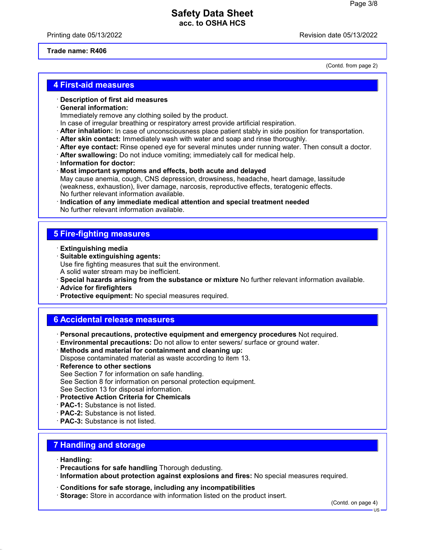Printing date 05/13/2022 **Printing date 05/13/2022** 

(Contd. from page 2)

#### **Trade name: R406**

**4 First-aid measures**

· **Description of first aid measures**

#### · **General information:**

Immediately remove any clothing soiled by the product.

- In case of irregular breathing or respiratory arrest provide artificial respiration.
- · **After inhalation:** In case of unconsciousness place patient stably in side position for transportation.
- · **After skin contact:** Immediately wash with water and soap and rinse thoroughly.
- · **After eye contact:** Rinse opened eye for several minutes under running water. Then consult a doctor.
- · **After swallowing:** Do not induce vomiting; immediately call for medical help.
- · **Information for doctor:**
- · **Most important symptoms and effects, both acute and delayed** May cause anemia, cough, CNS depression, drowsiness, headache, heart damage, lassitude (weakness, exhaustion), liver damage, narcosis, reproductive effects, teratogenic effects. No further relevant information available.
- · **Indication of any immediate medical attention and special treatment needed** No further relevant information available.

### **5 Fire-fighting measures**

- · **Extinguishing media**
- · **Suitable extinguishing agents:** Use fire fighting measures that suit the environment. A solid water stream may be inefficient.
- · **Special hazards arising from the substance or mixture** No further relevant information available.
- · **Advice for firefighters**
- · **Protective equipment:** No special measures required.

### **6 Accidental release measures**

- · **Personal precautions, protective equipment and emergency procedures** Not required.
- · **Environmental precautions:** Do not allow to enter sewers/ surface or ground water.
- · **Methods and material for containment and cleaning up:** Dispose contaminated material as waste according to item 13.
- **Reference to other sections** See Section 7 for information on safe handling. See Section 8 for information on personal protection equipment. See Section 13 for disposal information.
- · **Protective Action Criteria for Chemicals**
- · **PAC-1:** Substance is not listed.
- · **PAC-2:** Substance is not listed.
- · **PAC-3:** Substance is not listed.

# **7 Handling and storage**

- · **Handling:**
- · **Precautions for safe handling** Thorough dedusting.
- · **Information about protection against explosions and fires:** No special measures required.
- · **Conditions for safe storage, including any incompatibilities**
- · **Storage:** Store in accordance with information listed on the product insert.

(Contd. on page 4)

US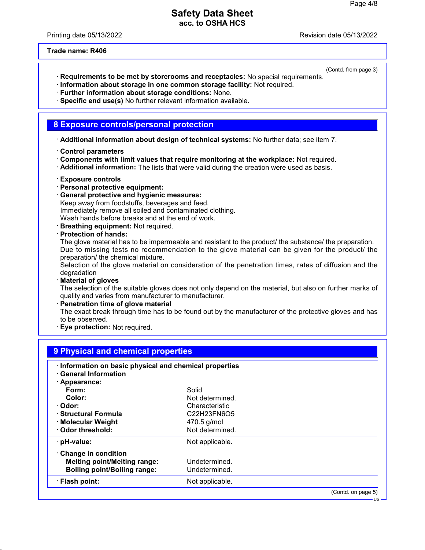Printing date 05/13/2022 Revision date 05/13/2022

**Trade name: R406**

(Contd. from page 3)

- · **Requirements to be met by storerooms and receptacles:** No special requirements.
- · **Information about storage in one common storage facility:** Not required.
- · **Further information about storage conditions:** None.
- · **Specific end use(s)** No further relevant information available.

### **8 Exposure controls/personal protection**

· **Additional information about design of technical systems:** No further data; see item 7.

- · **Control parameters**
- · **Components with limit values that require monitoring at the workplace:** Not required.
- · **Additional information:** The lists that were valid during the creation were used as basis.
- · **Exposure controls**
- · **Personal protective equipment:**
- · **General protective and hygienic measures:** Keep away from foodstuffs, beverages and feed. Immediately remove all soiled and contaminated clothing. Wash hands before breaks and at the end of work.
- · **Breathing equipment:** Not required.
- · **Protection of hands:**

The glove material has to be impermeable and resistant to the product/ the substance/ the preparation. Due to missing tests no recommendation to the glove material can be given for the product/ the preparation/ the chemical mixture.

Selection of the glove material on consideration of the penetration times, rates of diffusion and the degradation

· **Material of gloves**

The selection of the suitable gloves does not only depend on the material, but also on further marks of quality and varies from manufacturer to manufacturer.

· **Penetration time of glove material**

The exact break through time has to be found out by the manufacturer of the protective gloves and has to be observed.

· **Eye protection:** Not required.

| · Information on basic physical and chemical properties<br><b>General Information</b> |                                                                |  |
|---------------------------------------------------------------------------------------|----------------------------------------------------------------|--|
| · Appearance:                                                                         |                                                                |  |
| Form:                                                                                 | Solid                                                          |  |
| Color:                                                                                | Not determined.                                                |  |
| · Odor:                                                                               | Characteristic                                                 |  |
| · Structural Formula                                                                  | C <sub>22</sub> H <sub>23</sub> FN <sub>6</sub> O <sub>5</sub> |  |
| · Molecular Weight                                                                    | 470.5 g/mol                                                    |  |
| Odor threshold:                                                                       | Not determined.                                                |  |
| pH-value:                                                                             | Not applicable.                                                |  |
| Change in condition                                                                   |                                                                |  |
| <b>Melting point/Melting range:</b>                                                   | Undetermined.                                                  |  |
| <b>Boiling point/Boiling range:</b>                                                   | Undetermined.                                                  |  |
| · Flash point:                                                                        | Not applicable.                                                |  |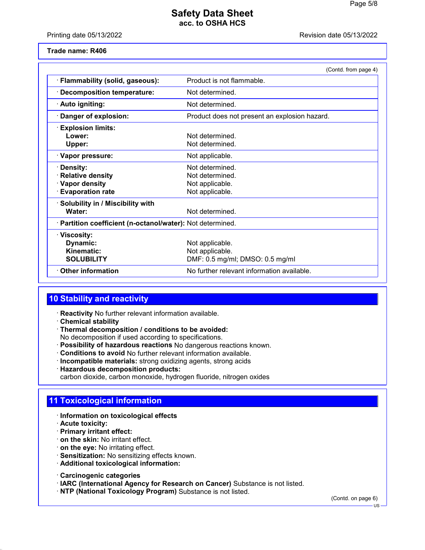Printing date 05/13/2022 Revision date 05/13/2022

**Trade name: R406**

|                                                                                | (Contd. from page 4)                                                     |  |
|--------------------------------------------------------------------------------|--------------------------------------------------------------------------|--|
| · Flammability (solid, gaseous):                                               | Product is not flammable.                                                |  |
| <b>Decomposition temperature:</b>                                              | Not determined.                                                          |  |
| · Auto igniting:                                                               | Not determined.                                                          |  |
| · Danger of explosion:                                                         | Product does not present an explosion hazard.                            |  |
| <b>Explosion limits:</b><br>Lower:<br>Upper:                                   | Not determined.<br>Not determined.                                       |  |
| · Vapor pressure:                                                              | Not applicable.                                                          |  |
| · Density:<br>· Relative density<br>· Vapor density<br><b>Evaporation rate</b> | Not determined.<br>Not determined.<br>Not applicable.<br>Not applicable. |  |
| · Solubility in / Miscibility with<br>Water:                                   | Not determined.                                                          |  |
| · Partition coefficient (n-octanol/water): Not determined.                     |                                                                          |  |
| · Viscosity:<br>Dynamic:<br>Kinematic:<br><b>SOLUBILITY</b>                    | Not applicable.<br>Not applicable.<br>DMF: 0.5 mg/ml; DMSO: 0.5 mg/ml    |  |
| $\cdot$ Other information                                                      | No further relevant information available.                               |  |

# **10 Stability and reactivity**

- · **Reactivity** No further relevant information available.
- · **Chemical stability**
- · **Thermal decomposition / conditions to be avoided:** No decomposition if used according to specifications.
- · **Possibility of hazardous reactions** No dangerous reactions known.
- · **Conditions to avoid** No further relevant information available.
- · **Incompatible materials:** strong oxidizing agents, strong acids
- · **Hazardous decomposition products:** carbon dioxide, carbon monoxide, hydrogen fluoride, nitrogen oxides

# **11 Toxicological information**

- · **Information on toxicological effects**
- · **Acute toxicity:**
- · **Primary irritant effect:**
- · **on the skin:** No irritant effect.
- · **on the eye:** No irritating effect.
- · **Sensitization:** No sensitizing effects known.
- · **Additional toxicological information:**
- · **Carcinogenic categories**
- · **IARC (International Agency for Research on Cancer)** Substance is not listed.
- · **NTP (National Toxicology Program)** Substance is not listed.

(Contd. on page 6)

**US**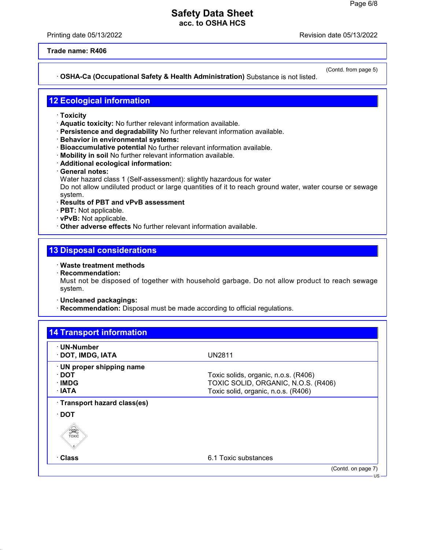Printing date 05/13/2022 Revision date 05/13/2022

**Trade name: R406**

### · **OSHA-Ca (Occupational Safety & Health Administration)** Substance is not listed.

(Contd. from page 5)

### **12 Ecological information**

- · **Toxicity**
- · **Aquatic toxicity:** No further relevant information available.
- · **Persistence and degradability** No further relevant information available.
- · **Behavior in environmental systems:**
- · **Bioaccumulative potential** No further relevant information available.
- · **Mobility in soil** No further relevant information available.
- · **Additional ecological information:**
- · **General notes:**
- Water hazard class 1 (Self-assessment): slightly hazardous for water

Do not allow undiluted product or large quantities of it to reach ground water, water course or sewage system.

- · **Results of PBT and vPvB assessment**
- · **PBT:** Not applicable.
- · **vPvB:** Not applicable.
- · **Other adverse effects** No further relevant information available.

## **13 Disposal considerations**

- · **Waste treatment methods**
- · **Recommendation:**

Must not be disposed of together with household garbage. Do not allow product to reach sewage system.

- · **Uncleaned packagings:**
- · **Recommendation:** Disposal must be made according to official regulations.

| · UN-Number<br>· DOT, IMDG, IATA         | <b>UN2811</b>                                                              |
|------------------------------------------|----------------------------------------------------------------------------|
| · UN proper shipping name<br>$\cdot$ DOT | Toxic solids, organic, n.o.s. (R406)                                       |
| ∙IMDG<br>∴IATA                           | TOXIC SOLID, ORGANIC, N.O.S. (R406)<br>Toxic solid, organic, n.o.s. (R406) |
| · Transport hazard class(es)             |                                                                            |
| $\cdot$ DOT                              |                                                                            |
| SSES                                     |                                                                            |
| · Class                                  | 6.1 Toxic substances                                                       |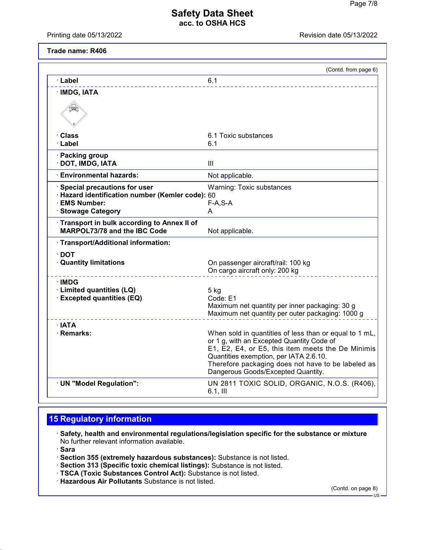Printing date 05/13/2022 **Revision date 05/13/2022** 

**Trade name: R406**

|                                                                            | (Contd. from page 6)                                                                                                                                                                                                                                                                           |
|----------------------------------------------------------------------------|------------------------------------------------------------------------------------------------------------------------------------------------------------------------------------------------------------------------------------------------------------------------------------------------|
| · Label                                                                    | 6.1                                                                                                                                                                                                                                                                                            |
| · IMDG, IATA                                                               |                                                                                                                                                                                                                                                                                                |
| ں                                                                          |                                                                                                                                                                                                                                                                                                |
| · Class                                                                    | 6.1 Toxic substances                                                                                                                                                                                                                                                                           |
| ∙ Label                                                                    | 6.1                                                                                                                                                                                                                                                                                            |
| · Packing group<br>· DOT, IMDG, IATA                                       | III                                                                                                                                                                                                                                                                                            |
| <b>Environmental hazards:</b>                                              | Not applicable.                                                                                                                                                                                                                                                                                |
| Special precautions for user                                               | Warning: Toxic substances                                                                                                                                                                                                                                                                      |
| · Hazard identification number (Kemler code): 60                           |                                                                                                                                                                                                                                                                                                |
| · EMS Number:                                                              | $F-A, S-A$<br>A                                                                                                                                                                                                                                                                                |
| <b>Stowage Category</b>                                                    |                                                                                                                                                                                                                                                                                                |
| Transport in bulk according to Annex II of<br>MARPOL73/78 and the IBC Code | Not applicable.                                                                                                                                                                                                                                                                                |
| · Transport/Additional information:                                        |                                                                                                                                                                                                                                                                                                |
| $\cdot$ DOT                                                                |                                                                                                                                                                                                                                                                                                |
| <b>Quantity limitations</b>                                                | On passenger aircraft/rail: 100 kg<br>On cargo aircraft only: 200 kg                                                                                                                                                                                                                           |
| ∙IMDG                                                                      |                                                                                                                                                                                                                                                                                                |
| · Limited quantities (LQ)                                                  | $5$ kg                                                                                                                                                                                                                                                                                         |
| · Excepted quantities (EQ)                                                 | Code: E1                                                                                                                                                                                                                                                                                       |
|                                                                            | Maximum net quantity per inner packaging: 30 g<br>Maximum net quantity per outer packaging: 1000 g                                                                                                                                                                                             |
| $\cdot$ IATA                                                               |                                                                                                                                                                                                                                                                                                |
| · Remarks:                                                                 | When sold in quantities of less than or equal to 1 mL,<br>or 1 g, with an Excepted Quantity Code of<br>E1, E2, E4, or E5, this item meets the De Minimis<br>Quantities exemption, per IATA 2.6.10.<br>Therefore packaging does not have to be labeled as<br>Dangerous Goods/Excepted Quantity. |
| · UN "Model Regulation":                                                   | UN 2811 TOXIC SOLID, ORGANIC, N.O.S. (R406),<br>$6.1$ , III                                                                                                                                                                                                                                    |
|                                                                            |                                                                                                                                                                                                                                                                                                |

# **15 Regulatory information**

· **Safety, health and environmental regulations/legislation specific for the substance or mixture** No further relevant information available.

· **Sara**

- · **Section 355 (extremely hazardous substances):** Substance is not listed.
- · **Section 313 (Specific toxic chemical listings):** Substance is not listed.
- · **TSCA (Toxic Substances Control Act):** Substance is not listed.
- · **Hazardous Air Pollutants** Substance is not listed.

(Contd. on page 8)

US